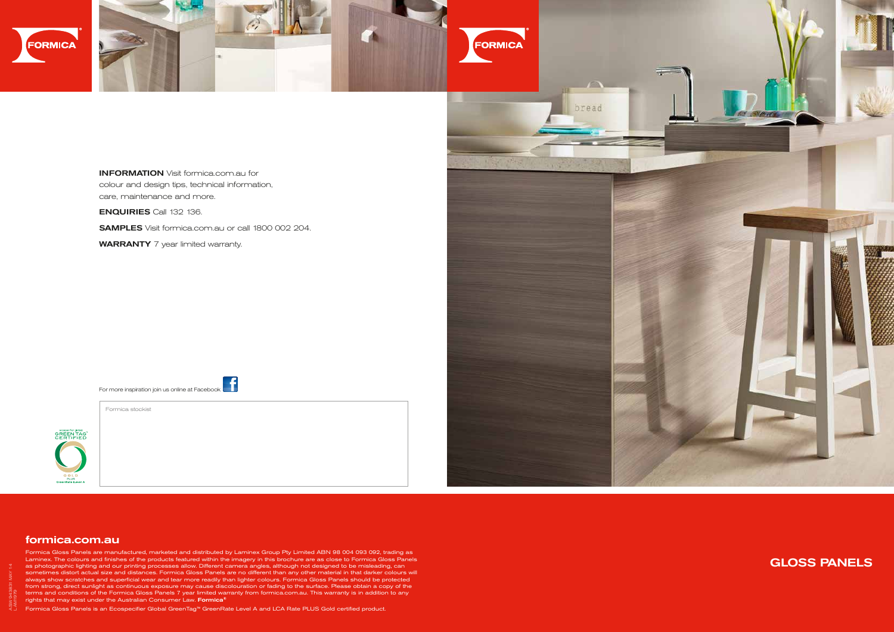

## GLOSS PANELS

## formica.com.au

Formica Gloss Panels are manufactured, marketed and distributed by Laminex Group Pty Limited ABN 98 004 093 092, trading as Laminex. The colours and finishes of the products featured within the imagery in this brochure are as close to Formica Gloss Panels as photographic lighting and our printing processes allow. Different camera angles, although not designed to be misleading, can sometimes distort actual size and distances. Formica Gloss Panels are no different than any other material in that darker colours will always show scratches and superficial wear and tear more readily than lighter colours. Formica Gloss Panels should be protected from strong, direct sunlight as continuous exposure may cause discolouration or fading to the surface. Please obtain a copy of the terms and conditions of the Formica Gloss Panels 7 year limited warranty from formica.com.au. This warranty is in addition to any rights that may exist under the Australian Consumer Law. Formica**®** 

Formica Gloss Panels is an Ecospecifier Global GreenTag™ GreenRate Level A and LCA Rate PLUS Gold certified product.